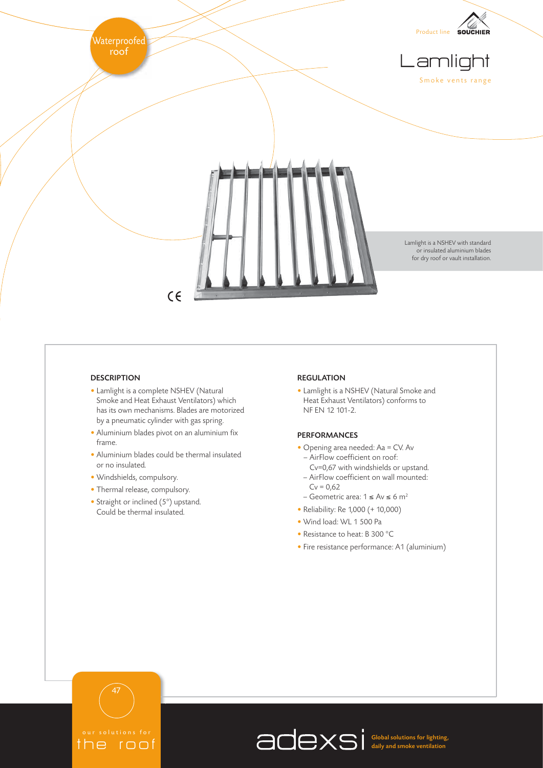

# **DESCRIPTION**

- Lamlight is a complete NSHEV (Natural Smoke and Heat Exhaust Ventilators) which has its own mechanisms. Blades are motorized by a pneumatic cylinder with gas spring.
- Aluminium blades pivot on an aluminium fix frame.
- Aluminium blades could be thermal insulated or no insulated.
- Windshields, compulsory.
- Thermal release, compulsory.
- Straight or inclined (5°) upstand. Could be thermal insulated.

### REGULATION

• Lamlight is a NSHEV (Natural Smoke and Heat Exhaust Ventilators) conforms to NF EN 12 101-2.

### PERFORMANCES

- Opening area needed: Aa = CV. Av – AirFlow coefficient on roof:
	- Cv=0,67 with windshields or upstand. – AirFlow coefficient on wall mounted:
	- $Cv = 0.62$ – Geometric area:  $1 \le Av \le 6$  m<sup>2</sup>
	-
- Reliability: Re 1,000 (+ 10,000)
- Wind load: WL 1 500 Pa
- Resistance to heat: B 300 °C
- Fire resistance performance: A1 (aluminium)



47

Global solutions for lighting, daily and smoke ventilation